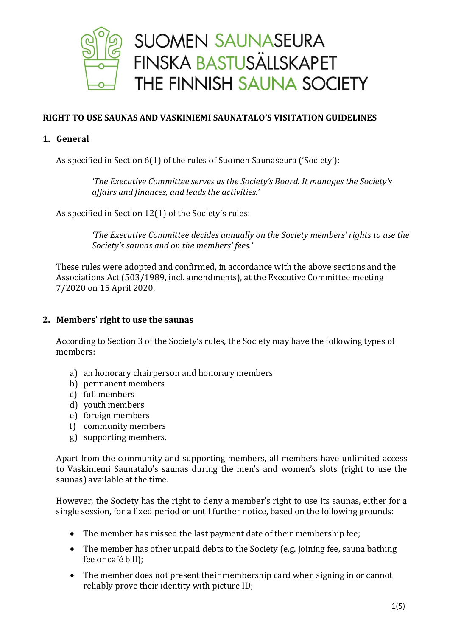

# **RIGHT TO USE SAUNAS AND VASKINIEMI SAUNATALO'S VISITATION GUIDELINES**

## **1. General**

As specified in Section 6(1) of the rules of Suomen Saunaseura ('Society'):

*'The Executive Committee serves as the Society's Board. It manages the Society's affairs and finances, and leads the activities.'*

As specified in Section 12(1) of the Society's rules:

*'The Executive Committee decides annually on the Society members' rights to use the Society's saunas and on the members' fees.'*

These rules were adopted and confirmed, in accordance with the above sections and the Associations Act (503/1989, incl. amendments), at the Executive Committee meeting 7/2020 on 15 April 2020.

## **2. Members' right to use the saunas**

According to Section 3 of the Society's rules, the Society may have the following types of members:

- a) an honorary chairperson and honorary members
- b) permanent members
- c) full members
- d) youth members
- e) foreign members
- f) community members
- g) supporting members.

Apart from the community and supporting members, all members have unlimited access to Vaskiniemi Saunatalo's saunas during the men's and women's slots (right to use the saunas) available at the time.

However, the Society has the right to deny a member's right to use its saunas, either for a single session, for a fixed period or until further notice, based on the following grounds:

- The member has missed the last payment date of their membership fee;
- The member has other unpaid debts to the Society (e.g. joining fee, sauna bathing fee or café bill);
- The member does not present their membership card when signing in or cannot reliably prove their identity with picture ID;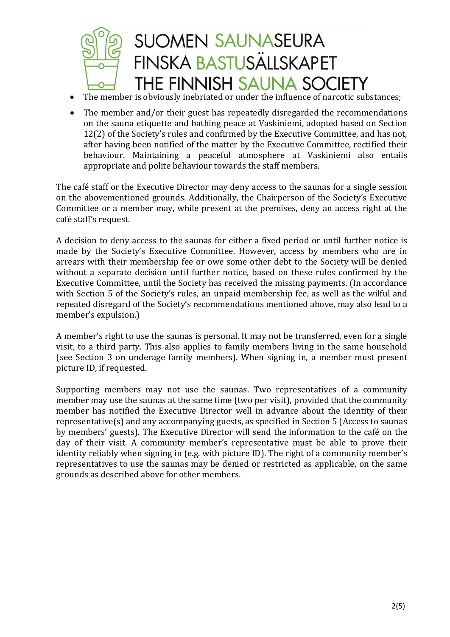

- The member is obviously inebriated or under the influence of narcotic substances;
- The member and/or their guest has repeatedly disregarded the recommendations on the sauna etiquette and bathing peace at Vaskiniemi, adopted based on Section 12(2) of the Society's rules and confirmed by the Executive Committee, and has not, after having been notified of the matter by the Executive Committee, rectified their behaviour. Maintaining a peaceful atmosphere at Vaskiniemi also entails appropriate and polite behaviour towards the staff members.

The café staff or the Executive Director may deny access to the saunas for a single session on the abovementioned grounds. Additionally, the Chairperson of the Society's Executive Committee or a member may, while present at the premises, deny an access right at the café staff's request.

A decision to deny access to the saunas for either a fixed period or until further notice is made by the Society's Executive Committee. However, access by members who are in arrears with their membership fee or owe some other debt to the Society will be denied without a separate decision until further notice, based on these rules confirmed by the Executive Committee, until the Society has received the missing payments. (In accordance with Section 5 of the Society's rules, an unpaid membership fee, as well as the wilful and repeated disregard of the Society's recommendations mentioned above, may also lead to a member's expulsion.)

A member's right to use the saunas is personal. It may not be transferred, even for a single visit, to a third party. This also applies to family members living in the same household (see Section 3 on underage family members). When signing in, a member must present picture ID, if requested.

Supporting members may not use the saunas. Two representatives of a community member may use the saunas at the same time (two per visit), provided that the community member has notified the Executive Director well in advance about the identity of their representative(s) and any accompanying guests, as specified in Section 5 (Access to saunas by members' guests). The Executive Director will send the information to the café on the day of their visit. A community member's representative must be able to prove their identity reliably when signing in (e.g. with picture ID). The right of a community member's representatives to use the saunas may be denied or restricted as applicable, on the same grounds as described above for other members.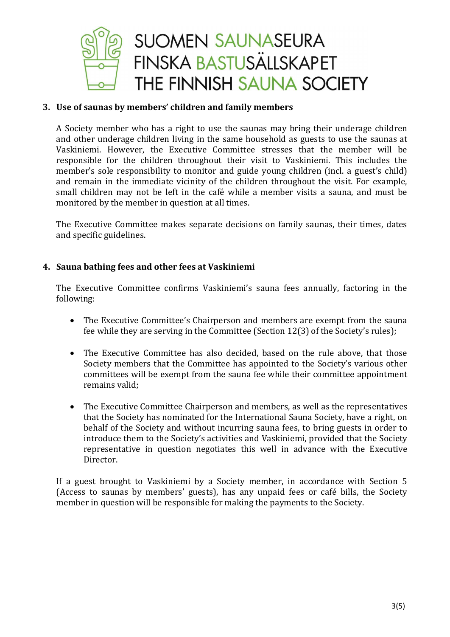

## **3. Use of saunas by members' children and family members**

A Society member who has a right to use the saunas may bring their underage children and other underage children living in the same household as guests to use the saunas at Vaskiniemi. However, the Executive Committee stresses that the member will be responsible for the children throughout their visit to Vaskiniemi. This includes the member's sole responsibility to monitor and guide young children (incl. a guest's child) and remain in the immediate vicinity of the children throughout the visit. For example, small children may not be left in the café while a member visits a sauna, and must be monitored by the member in question at all times.

The Executive Committee makes separate decisions on family saunas, their times, dates and specific guidelines.

## **4. Sauna bathing fees and other fees at Vaskiniemi**

The Executive Committee confirms Vaskiniemi's sauna fees annually, factoring in the following:

- The Executive Committee's Chairperson and members are exempt from the sauna fee while they are serving in the Committee (Section 12(3) of the Society's rules);
- The Executive Committee has also decided, based on the rule above, that those Society members that the Committee has appointed to the Society's various other committees will be exempt from the sauna fee while their committee appointment remains valid;
- The Executive Committee Chairperson and members, as well as the representatives that the Society has nominated for the International Sauna Society, have a right, on behalf of the Society and without incurring sauna fees, to bring guests in order to introduce them to the Society's activities and Vaskiniemi, provided that the Society representative in question negotiates this well in advance with the Executive Director.

If a guest brought to Vaskiniemi by a Society member, in accordance with Section 5 (Access to saunas by members' guests), has any unpaid fees or café bills, the Society member in question will be responsible for making the payments to the Society.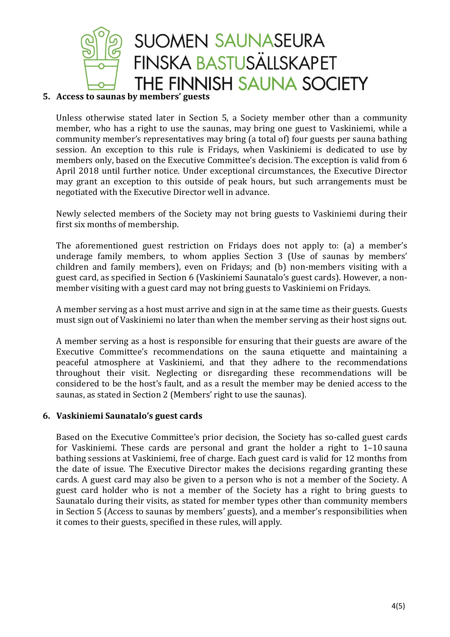

## **5. Access to saunas by members' guests**

Unless otherwise stated later in Section 5, a Society member other than a community member, who has a right to use the saunas, may bring one guest to Vaskiniemi, while a community member's representatives may bring (a total of) four guests per sauna bathing session. An exception to this rule is Fridays, when Vaskiniemi is dedicated to use by members only, based on the Executive Committee's decision. The exception is valid from 6 April 2018 until further notice. Under exceptional circumstances, the Executive Director may grant an exception to this outside of peak hours, but such arrangements must be negotiated with the Executive Director well in advance.

Newly selected members of the Society may not bring guests to Vaskiniemi during their first six months of membership.

The aforementioned guest restriction on Fridays does not apply to: (a) a member's underage family members, to whom applies Section 3 (Use of saunas by members' children and family members), even on Fridays; and (b) non-members visiting with a guest card, as specified in Section 6 (Vaskiniemi Saunatalo's guest cards). However, a nonmember visiting with a guest card may not bring guests to Vaskiniemi on Fridays.

A member serving as a host must arrive and sign in at the same time as their guests. Guests must sign out of Vaskiniemi no later than when the member serving as their host signs out.

A member serving as a host is responsible for ensuring that their guests are aware of the Executive Committee's recommendations on the sauna etiquette and maintaining a peaceful atmosphere at Vaskiniemi, and that they adhere to the recommendations throughout their visit. Neglecting or disregarding these recommendations will be considered to be the host's fault, and as a result the member may be denied access to the saunas, as stated in Section 2 (Members' right to use the saunas).

## **6. Vaskiniemi Saunatalo's guest cards**

Based on the Executive Committee's prior decision, the Society has so-called guest cards for Vaskiniemi. These cards are personal and grant the holder a right to 1–10 sauna bathing sessions at Vaskiniemi, free of charge. Each guest card is valid for 12 months from the date of issue. The Executive Director makes the decisions regarding granting these cards. A guest card may also be given to a person who is not a member of the Society. A guest card holder who is not a member of the Society has a right to bring guests to Saunatalo during their visits, as stated for member types other than community members in Section 5 (Access to saunas by members' guests), and a member's responsibilities when it comes to their guests, specified in these rules, will apply.